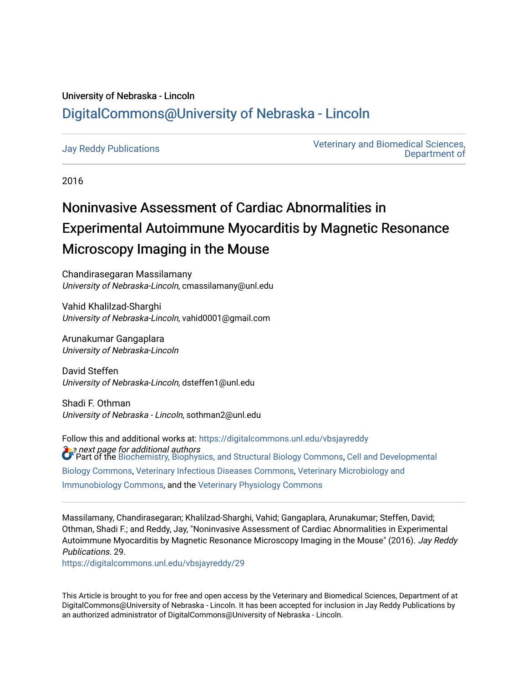## University of Nebraska - Lincoln [DigitalCommons@University of Nebraska - Lincoln](https://digitalcommons.unl.edu/)

[Jay Reddy Publications](https://digitalcommons.unl.edu/vbsjayreddy) [Veterinary and Biomedical Sciences,](https://digitalcommons.unl.edu/vetbiomedsci)  [Department of](https://digitalcommons.unl.edu/vetbiomedsci) 

2016

# Noninvasive Assessment of Cardiac Abnormalities in Experimental Autoimmune Myocarditis by Magnetic Resonance Microscopy Imaging in the Mouse

Chandirasegaran Massilamany University of Nebraska-Lincoln, cmassilamany@unl.edu

Vahid Khalilzad-Sharghi University of Nebraska-Lincoln, vahid0001@gmail.com

Arunakumar Gangaplara University of Nebraska-Lincoln

David Steffen University of Nebraska-Lincoln, dsteffen1@unl.edu

Shadi F. Othman University of Nebraska - Lincoln, sothman2@unl.edu

 $\Omega$ e next page for additional authors<br>Of Part of the [Biochemistry, Biophysics, and Structural Biology Commons](http://network.bepress.com/hgg/discipline/1?utm_source=digitalcommons.unl.edu%2Fvbsjayreddy%2F29&utm_medium=PDF&utm_campaign=PDFCoverPages), [Cell and Developmental](http://network.bepress.com/hgg/discipline/8?utm_source=digitalcommons.unl.edu%2Fvbsjayreddy%2F29&utm_medium=PDF&utm_campaign=PDFCoverPages) Follow this and additional works at: [https://digitalcommons.unl.edu/vbsjayreddy](https://digitalcommons.unl.edu/vbsjayreddy?utm_source=digitalcommons.unl.edu%2Fvbsjayreddy%2F29&utm_medium=PDF&utm_campaign=PDFCoverPages) [Biology Commons](http://network.bepress.com/hgg/discipline/8?utm_source=digitalcommons.unl.edu%2Fvbsjayreddy%2F29&utm_medium=PDF&utm_campaign=PDFCoverPages), [Veterinary Infectious Diseases Commons](http://network.bepress.com/hgg/discipline/770?utm_source=digitalcommons.unl.edu%2Fvbsjayreddy%2F29&utm_medium=PDF&utm_campaign=PDFCoverPages), [Veterinary Microbiology and](http://network.bepress.com/hgg/discipline/763?utm_source=digitalcommons.unl.edu%2Fvbsjayreddy%2F29&utm_medium=PDF&utm_campaign=PDFCoverPages)  [Immunobiology Commons,](http://network.bepress.com/hgg/discipline/763?utm_source=digitalcommons.unl.edu%2Fvbsjayreddy%2F29&utm_medium=PDF&utm_campaign=PDFCoverPages) and the [Veterinary Physiology Commons](http://network.bepress.com/hgg/discipline/762?utm_source=digitalcommons.unl.edu%2Fvbsjayreddy%2F29&utm_medium=PDF&utm_campaign=PDFCoverPages)

Massilamany, Chandirasegaran; Khalilzad-Sharghi, Vahid; Gangaplara, Arunakumar; Steffen, David; Othman, Shadi F.; and Reddy, Jay, "Noninvasive Assessment of Cardiac Abnormalities in Experimental Autoimmune Myocarditis by Magnetic Resonance Microscopy Imaging in the Mouse" (2016). Jay Reddy Publications. 29.

[https://digitalcommons.unl.edu/vbsjayreddy/29](https://digitalcommons.unl.edu/vbsjayreddy/29?utm_source=digitalcommons.unl.edu%2Fvbsjayreddy%2F29&utm_medium=PDF&utm_campaign=PDFCoverPages) 

This Article is brought to you for free and open access by the Veterinary and Biomedical Sciences, Department of at DigitalCommons@University of Nebraska - Lincoln. It has been accepted for inclusion in Jay Reddy Publications by an authorized administrator of DigitalCommons@University of Nebraska - Lincoln.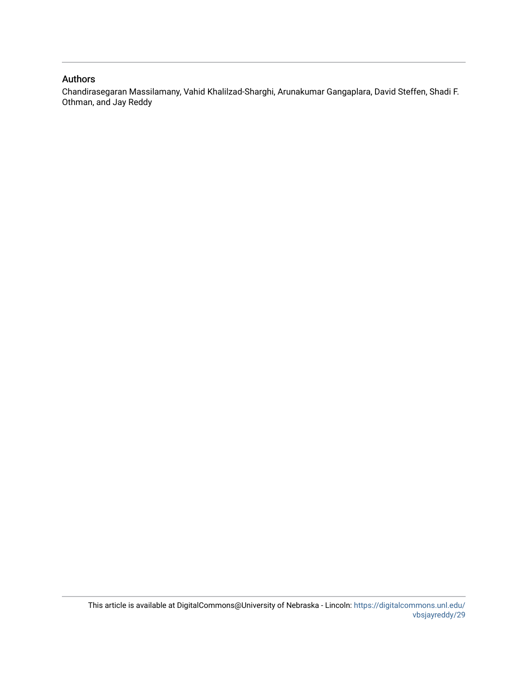### Authors

Chandirasegaran Massilamany, Vahid Khalilzad-Sharghi, Arunakumar Gangaplara, David Steffen, Shadi F. Othman, and Jay Reddy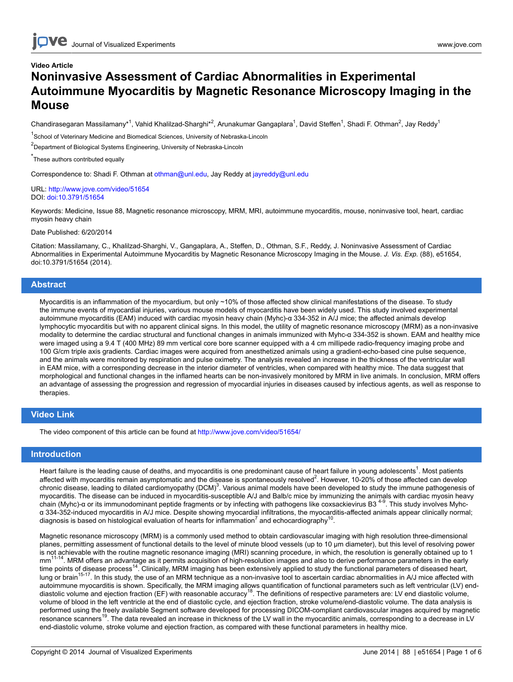### **Video Article Noninvasive Assessment of Cardiac Abnormalities in Experimental Autoimmune Myocarditis by Magnetic Resonance Microscopy Imaging in the Mouse**

Chandirasegaran Massilamany\*<sup>1</sup>, Vahid Khalilzad-Sharghi\*<sup>2</sup>, Arunakumar Gangaplara<sup>1</sup>, David Steffen<sup>1</sup>, Shadi F. Othman<sup>2</sup>, Jay Reddy<sup>1</sup>

<sup>1</sup>School of Veterinary Medicine and Biomedical Sciences, University of Nebraska-Lincoln

<sup>2</sup>Department of Biological Systems Engineering, University of Nebraska-Lincoln

\* These authors contributed equally

Correspondence to: Shadi F. Othman at [othman@unl.edu](mailto:othman@unl.edu), Jay Reddy at [jayreddy@unl.edu](mailto:jayreddy@unl.edu)

URL:<http://www.jove.com/video/51654> DOI: [doi:10.3791/51654](http://dx.doi.org/10.3791/51654)

Keywords: Medicine, Issue 88, Magnetic resonance microscopy, MRM, MRI, autoimmune myocarditis, mouse, noninvasive tool, heart, cardiac myosin heavy chain

Date Published: 6/20/2014

Citation: Massilamany, C., Khalilzad-Sharghi, V., Gangaplara, A., Steffen, D., Othman, S.F., Reddy, J. Noninvasive Assessment of Cardiac Abnormalities in Experimental Autoimmune Myocarditis by Magnetic Resonance Microscopy Imaging in the Mouse. *J. Vis. Exp.* (88), e51654, doi:10.3791/51654 (2014).

### **Abstract**

Myocarditis is an inflammation of the myocardium, but only ~10% of those affected show clinical manifestations of the disease. To study the immune events of myocardial injuries, various mouse models of myocarditis have been widely used. This study involved experimental autoimmune myocarditis (EAM) induced with cardiac myosin heavy chain (Myhc)-α 334-352 in A/J mice; the affected animals develop lymphocytic myocarditis but with no apparent clinical signs. In this model, the utility of magnetic resonance microscopy (MRM) as a non-invasive modality to determine the cardiac structural and functional changes in animals immunized with Myhc-α 334-352 is shown. EAM and healthy mice were imaged using a 9.4 T (400 MHz) 89 mm vertical core bore scanner equipped with a 4 cm millipede radio-frequency imaging probe and 100 G/cm triple axis gradients. Cardiac images were acquired from anesthetized animals using a gradient-echo-based cine pulse sequence, and the animals were monitored by respiration and pulse oximetry. The analysis revealed an increase in the thickness of the ventricular wall in EAM mice, with a corresponding decrease in the interior diameter of ventricles, when compared with healthy mice. The data suggest that morphological and functional changes in the inflamed hearts can be non-invasively monitored by MRM in live animals. In conclusion, MRM offers an advantage of assessing the progression and regression of myocardial injuries in diseases caused by infectious agents, as well as response to therapies.

### **Video Link**

The video component of this article can be found at <http://www.jove.com/video/51654/>

#### **Introduction**

Heart failure is the leading cause of deaths, and myocarditis is one predominant cause of heart failure in young adolescents<sup>1</sup>. Most patients affected with myocarditis remain asymptomatic and the disease is spontaneously resolved<sup>2</sup>. However, 10-20% of those affected can develop chronic disease, leading to dilated cardiomyopathy (DCM)<sup>3</sup>. Various animal models have been developed to study the immune pathogenesis of myocarditis. The disease can be induced in myocarditis-susceptible A/J and Balb/c mice by immunizing the animals with cardiac myosin heavy chain (Myhc)-α or its immunodominant peptide fragments or by infecting with pathogens like coxsackievirus B3 4-9. This study involves Myhcα 334-352-induced myocarditis in A/J mice. Despite showing myocardial infiltrations, the myocarditis-affected animals appear clinically normal; diagnosis is based on histological evaluation of hearts for inflammation<sup>7</sup> and echocardiography<sup>10</sup>.

Magnetic resonance microscopy (MRM) is a commonly used method to obtain cardiovascular imaging with high resolution three-dimensional planes, permitting assessment of functional details to the level of minute blood vessels (up to 10 μm diameter), but this level of resolving power is not achievable with the routine magnetic resonance imaging (MRI) scanning procedure, in which, the resolution is generally obtained up to 1 mm<sup>11-14</sup>. MRM offers an advantage as it permits acquisition of high-resolution images and also to derive performance parameters in the early time points of disease process<sup>14</sup>. Clinically, MRM imaging has been extensively applied to study the functional parameters of diseased heart, lung or brain<sup>15-17</sup>. In this study, the use of an MRM technique as a non-invasive tool to ascertain cardiac abnormalities in A/J mice affected with autoimmune myocarditis is shown. Specifically, the MRM imaging allows quantification of functional parameters such as left ventricular (LV) enddiastolic volume and ejection fraction (EF) with reasonable accuracy<sup>18</sup>. The definitions of respective parameters are: LV end diastolic volume, volume of blood in the left ventricle at the end of diastolic cycle, and ejection fraction, stroke volume/end-diastolic volume. The data analysis is performed using the freely available Segment software developed for processing DICOM-compliant cardiovascular images acquired by magnetic resonance scanners<sup>19</sup>. The data revealed an increase in thickness of the LV wall in the myocarditic animals, corresponding to a decrease in LV end-diastolic volume, stroke volume and ejection fraction, as compared with these functional parameters in healthy mice.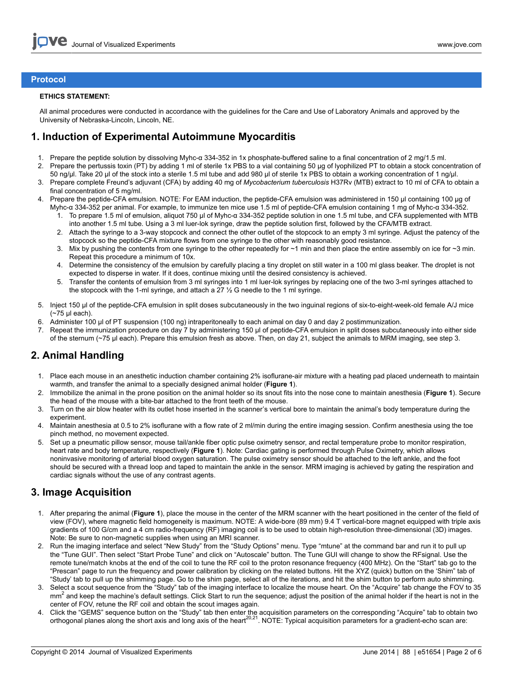### **Protocol**

#### **ETHICS STATEMENT:**

All animal procedures were conducted in accordance with the guidelines for the Care and Use of Laboratory Animals and approved by the University of Nebraska-Lincoln, Lincoln, NE.

### **1. Induction of Experimental Autoimmune Myocarditis**

- 1. Prepare the peptide solution by dissolving Myhc-α 334-352 in 1x phosphate-buffered saline to a final concentration of 2 mg/1.5 ml.
- 2. Prepare the pertussis toxin (PT) by adding 1 ml of sterile 1x PBS to a vial containing 50 μg of lyophilized PT to obtain a stock concentration of 50 ng/μl. Take 20 μl of the stock into a sterile 1.5 ml tube and add 980 μl of sterile 1x PBS to obtain a working concentration of 1 ng/μl.
- 3. Prepare complete Freund's adjuvant (CFA) by adding 40 mg of *Mycobacterium tuberculosis* H37Rv (MTB) extract to 10 ml of CFA to obtain a final concentration of 5 mg/ml.
- 4. Prepare the peptide-CFA emulsion. NOTE: For EAM induction, the peptide-CFA emulsion was administered in 150 μl containing 100 µg of Myhc-α 334-352 per animal. For example, to immunize ten mice use 1.5 ml of peptide-CFA emulsion containing 1 mg of Myhc-α 334-352.
	- 1. To prepare 1.5 ml of emulsion, aliquot 750 μl of Myhc-α 334-352 peptide solution in one 1.5 ml tube, and CFA supplemented with MTB into another 1.5 ml tube. Using a 3 ml luer-lok syringe, draw the peptide solution first, followed by the CFA/MTB extract.
	- 2. Attach the syringe to a 3-way stopcock and connect the other outlet of the stopcock to an empty 3 ml syringe. Adjust the patency of the stopcock so the peptide-CFA mixture flows from one syringe to the other with reasonably good resistance.
	- 3. Mix by pushing the contents from one syringe to the other repeatedly for  $\sim$ 1 min and then place the entire assembly on ice for  $\sim$ 3 min. Repeat this procedure a minimum of 10x.
	- 4. Determine the consistency of the emulsion by carefully placing a tiny droplet on still water in a 100 ml glass beaker. The droplet is not expected to disperse in water. If it does, continue mixing until the desired consistency is achieved.
	- 5. Transfer the contents of emulsion from 3 ml syringes into 1 ml luer-lok syringes by replacing one of the two 3-ml syringes attached to the stopcock with the 1-ml syringe, and attach a 27 ½ G needle to the 1 ml syringe.
- 5. Inject 150 µl of the peptide-CFA emulsion in split doses subcutaneously in the two inguinal regions of six-to-eight-week-old female A/J mice (~75 µl each).
- 6. Administer 100 μl of PT suspension (100 ng) intraperitoneally to each animal on day 0 and day 2 postimmunization.
- 7. Repeat the immunization procedure on day 7 by administering 150 µl of peptide-CFA emulsion in split doses subcutaneously into either side of the sternum (~75 µl each). Prepare this emulsion fresh as above. Then, on day 21, subject the animals to MRM imaging, see step 3.

### **2. Animal Handling**

- 1. Place each mouse in an anesthetic induction chamber containing 2% isoflurane-air mixture with a heating pad placed underneath to maintain warmth, and transfer the animal to a specially designed animal holder (**Figure 1**).
- 2. Immobilize the animal in the prone position on the animal holder so its snout fits into the nose cone to maintain anesthesia (**Figure 1**). Secure the head of the mouse with a bite-bar attached to the front teeth of the mouse.
- 3. Turn on the air blow heater with its outlet hose inserted in the scanner's vertical bore to maintain the animal's body temperature during the experiment.
- 4. Maintain anesthesia at 0.5 to 2% isoflurane with a flow rate of 2 ml/min during the entire imaging session. Confirm anesthesia using the toe pinch method, no movement expected.
- 5. Set up a pneumatic pillow sensor, mouse tail/ankle fiber optic pulse oximetry sensor, and rectal temperature probe to monitor respiration, heart rate and body temperature, respectively (**Figure 1**). Note: Cardiac gating is performed through Pulse Oximetry, which allows noninvasive monitoring of arterial blood oxygen saturation. The pulse oximetry sensor should be attached to the left ankle, and the foot should be secured with a thread loop and taped to maintain the ankle in the sensor. MRM imaging is achieved by gating the respiration and cardiac signals without the use of any contrast agents.

### **3. Image Acquisition**

- 1. After preparing the animal (**Figure 1**), place the mouse in the center of the MRM scanner with the heart positioned in the center of the field of view (FOV), where magnetic field homogeneity is maximum. NOTE: A wide-bore (89 mm) 9.4 T vertical-bore magnet equipped with triple axis gradients of 100 G/cm and a 4 cm radio-frequency (RF) imaging coil is to be used to obtain high-resolution three-dimensional (3D) images. Note: Be sure to non-magnetic supplies when using an MRI scanner.
- 2. Run the imaging interface and select "New Study" from the "Study Options" menu. Type "mtune" at the command bar and run it to pull up the "Tune GUI". Then select "Start Probe Tune" and click on "Autoscale" button. The Tune GUI will change to show the RFsignal. Use the remote tune/match knobs at the end of the coil to tune the RF coil to the proton resonance frequency (400 MHz). On the "Start" tab go to the "Prescan" page to run the frequency and power calibration by clicking on the related buttons. Hit the XYZ (quick) button on the 'Shim" tab of "Study' tab to pull up the shimming page. Go to the shim page, select all of the iterations, and hit the shim button to perform auto shimming.
- 3. Select a scout sequence from the "Study" tab of the imaging interface to localize the mouse heart. On the "Acquire" tab change the FOV to 35 mm<sup>2</sup> and keep the machine's default settings. Click Start to run the sequence; adjust the position of the animal holder if the heart is not in the center of FOV, retune the RF coil and obtain the scout images again.
- 4. Click the "GEMS" sequence button on the "Study" tab then enter the acquisition parameters on the corresponding "Acquire" tab to obtain two<br>· orthogonal planes along the short axis and long axis of the heart<sup>20,21</sup>. NO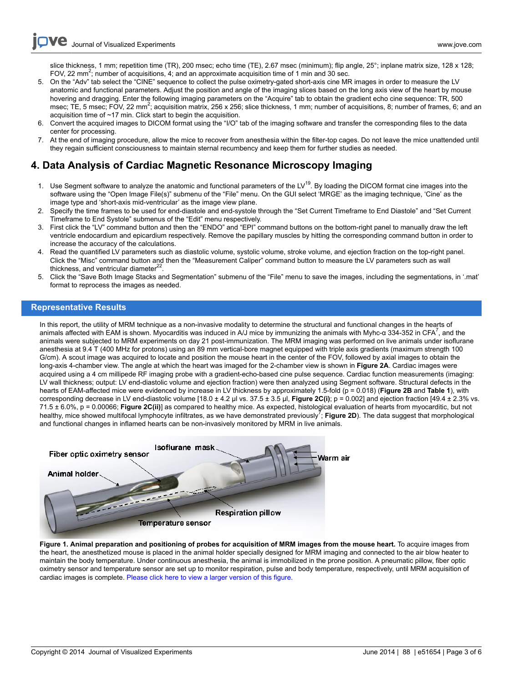slice thickness, 1 mm; repetition time (TR), 200 msec; echo time (TE), 2.67 msec (minimum); flip angle, 25°; inplane matrix size, 128 x 128; FOV, 22 mm<sup>2</sup>; number of acquisitions, 4; and an approximate acquisition time of 1 min and 30 sec.

- 5. On the "Adv" tab select the "CINE" sequence to collect the pulse oximetry-gated short-axis cine MR images in order to measure the LV anatomic and functional parameters. Adjust the position and angle of the imaging slices based on the long axis view of the heart by mouse hovering and dragging. Enter the following imaging parameters on the "Acquire" tab to obtain the gradient echo cine sequence: TR, 500 msec; TE, 5 msec; FOV, 22 mm<sup>2</sup>; acquisition matrix, 256 x 256; slice thickness, 1 mm; number of acquisitions, 8; number of frames, 6; and an acquisition time of ~17 min. Click start to begin the acquisition.
- 6. Convert the acquired images to DICOM format using the "I/O" tab of the imaging software and transfer the corresponding files to the data center for processing.
- 7. At the end of imaging procedure, allow the mice to recover from anesthesia within the filter-top cages. Do not leave the mice unattended until they regain sufficient consciousness to maintain sternal recumbency and keep them for further studies as needed.

### **4. Data Analysis of Cardiac Magnetic Resonance Microscopy Imaging**

- 1. Use Segment software to analyze the anatomic and functional parameters of the LV<sup>19</sup>. By loading the DICOM format cine images into the software using the "Open Image File(s)" submenu of the "File" menu. On the GUI select 'MRGE' as the imaging technique, 'Cine' as the image type and 'short-axis mid-ventricular' as the image view plane.
- 2. Specify the time frames to be used for end-diastole and end-systole through the "Set Current Timeframe to End Diastole" and "Set Current Timeframe to End Systole" submenus of the "Edit" menu respectively.
- 3. First click the "LV" command button and then the "ENDO" and "EPI" command buttons on the bottom-right panel to manually draw the left ventricle endocardium and epicardium respectively. Remove the papillary muscles by hitting the corresponding command button in order to increase the accuracy of the calculations.
- 4. Read the quantified LV parameters such as diastolic volume, systolic volume, stroke volume, and ejection fraction on the top-right panel. Click the "Misc" command button and then the "Measurement Caliper" command button to measure the LV parameters such as wall thickness, and ventricular diameter $^{22}$ .
- 5. Click the "Save Both Image Stacks and Segmentation" submenu of the "File" menu to save the images, including the segmentations, in '.mat' format to reprocess the images as needed.

### **Representative Results**

In this report, the utility of MRM technique as a non-invasive modality to determine the structural and functional changes in the hearts of animals affected with EAM is shown. Myocarditis was induced in A/J mice by immunizing the animals with Myhc-α 334-352 in CFA<sup>7</sup>, and the animals were subjected to MRM experiments on day 21 post-immunization. The MRM imaging was performed on live animals under isoflurane anesthesia at 9.4 T (400 MHz for protons) using an 89 mm vertical-bore magnet equipped with triple axis gradients (maximum strength 100 G/cm). A scout image was acquired to locate and position the mouse heart in the center of the FOV, followed by axial images to obtain the long-axis 4-chamber view. The angle at which the heart was imaged for the 2-chamber view is shown in **Figure 2A**. Cardiac images were acquired using a 4 cm millipede RF imaging probe with a gradient-echo-based cine pulse sequence. Cardiac function measurements (imaging: LV wall thickness; output: LV end-diastolic volume and ejection fraction) were then analyzed using Segment software. Structural defects in the hearts of EAM-affected mice were evidenced by increase in LV thickness by approximately 1.5-fold (p = 0.018) (**Figure 2B** and **Table 1**), with corresponding decrease in LV end-diastolic volume [18.0 ± 4.2 µl vs. 37.5 ± 3.5 µl, **Figure 2C(i)**; p = 0.002] and ejection fraction [49.4 ± 2.3% vs. 71.5 ± 6.0%, p = 0.00066; **Figure 2C(ii)**] as compared to healthy mice. As expected, histological evaluation of hearts from myocarditic, but not healthy, mice showed multifocal lymphocyte infiltrates, as we have demonstrated previously 7 ; **Figure 2D**). The data suggest that morphological and functional changes in inflamed hearts can be non-invasively monitored by MRM in live animals.



**Figure 1. Animal preparation and positioning of probes for acquisition of MRM images from the mouse heart.** To acquire images from the heart, the anesthetized mouse is placed in the animal holder specially designed for MRM imaging and connected to the air blow heater to maintain the body temperature. Under continuous anesthesia, the animal is immobilized in the prone position. A pneumatic pillow, fiber optic oximetry sensor and temperature sensor are set up to monitor respiration, pulse and body temperature, respectively, until MRM acquisition of cardiac images is complete. [Please click here to view a larger version of this figure.](https://www.jove.com/files/ftp_upload/51654/51654fig1highres.jpg)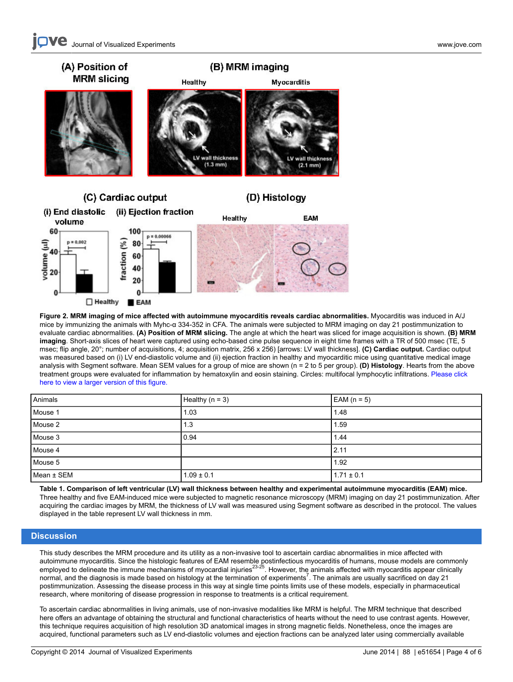

**Figure 2. MRM imaging of mice affected with autoimmune myocarditis reveals cardiac abnormalities.** Myocarditis was induced in A/J mice by immunizing the animals with Myhc-α 334-352 in CFA. The animals were subjected to MRM imaging on day 21 postimmunization to evaluate cardiac abnormalities. **(A) Position of MRM slicing.** The angle at which the heart was sliced for image acquisition is shown. **(B) MRM imaging**. Short-axis slices of heart were captured using echo-based cine pulse sequence in eight time frames with a TR of 500 msec (TE, 5 msec; flip angle, 20°; number of acquisitions, 4; acquisition matrix, 256 x 256) [arrows: LV wall thickness]. **(C) Cardiac output.** Cardiac output was measured based on (i) LV end-diastolic volume and (ii) ejection fraction in healthy and myocarditic mice using quantitative medical image analysis with Segment software. Mean SEM values for a group of mice are shown (n = 2 to 5 per group). **(D) Histology**. Hearts from the above treatment groups were evaluated for inflammation by hematoxylin and eosin staining. Circles: multifocal lymphocytic infiltrations. [Please click](https://www.jove.com/files/ftp_upload/51654/51654fig2highres.jpg) [here to view a larger version of this figure.](https://www.jove.com/files/ftp_upload/51654/51654fig2highres.jpg)

| Animals    | Healthy $(n = 3)$ | $EAM (n = 5)$  |
|------------|-------------------|----------------|
| Mouse 1    | 1.03              | 1.48           |
| Mouse 2    | 1.3               | 1.59           |
| Mouse 3    | 0.94              | 1.44           |
| Mouse 4    |                   | 2.11           |
| Mouse 5    |                   | 1.92           |
| Mean ± SEM | $1.09 \pm 0.1$    | $1.71 \pm 0.1$ |

Table 1. Comparison of left ventricular (LV) wall thickness between healthy and experimental autoimmune myocarditis (EAM) mice. Three healthy and five EAM-induced mice were subjected to magnetic resonance microscopy (MRM) imaging on day 21 postimmunization. After acquiring the cardiac images by MRM, the thickness of LV wall was measured using Segment software as described in the protocol. The values displayed in the table represent LV wall thickness in mm.

#### **Discussion**

This study describes the MRM procedure and its utility as a non-invasive tool to ascertain cardiac abnormalities in mice affected with autoimmune myocarditis. Since the histologic features of EAM resemble postinfectious myocarditis of humans, mouse models are commonly<br>employed to delineate the immune mechanisms of myocardial injuries<sup>23-25</sup>. However, the normal, and the diagnosis is made based on histology at the termination of experiments<sup>7</sup>. The animals are usually sacrificed on day 21 postimmunization. Assessing the disease process in this way at single time points limits use of these models, especially in pharmaceutical research, where monitoring of disease progression in response to treatments is a critical requirement.

To ascertain cardiac abnormalities in living animals, use of non-invasive modalities like MRM is helpful. The MRM technique that described here offers an advantage of obtaining the structural and functional characteristics of hearts without the need to use contrast agents. However, this technique requires acquisition of high resolution 3D anatomical images in strong magnetic fields. Nonetheless, once the images are acquired, functional parameters such as LV end-diastolic volumes and ejection fractions can be analyzed later using commercially available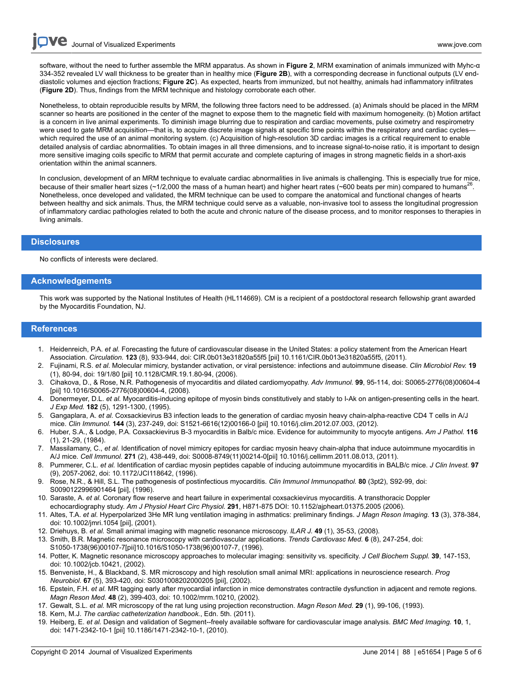**Ove** Journal of Visualized [Experiments](http://www.jove.com) [www.jove.com](http://www.jove.com)

software, without the need to further assemble the MRM apparatus. As shown in **Figure 2**, MRM examination of animals immunized with Myhc-α 334-352 revealed LV wall thickness to be greater than in healthy mice (**Figure 2B**), with a corresponding decrease in functional outputs (LV enddiastolic volumes and ejection fractions; **Figure 2C**). As expected, hearts from immunized, but not healthy, animals had inflammatory infiltrates (**Figure 2D**). Thus, findings from the MRM technique and histology corroborate each other.

Nonetheless, to obtain reproducible results by MRM, the following three factors need to be addressed. (a) Animals should be placed in the MRM scanner so hearts are positioned in the center of the magnet to expose them to the magnetic field with maximum homogeneity. (b) Motion artifact is a concern in live animal experiments. To diminish image blurring due to respiration and cardiac movements, pulse oximetry and respirometry were used to gate MRM acquisition—that is, to acquire discrete image signals at specific time points within the respiratory and cardiac cycleswhich required the use of an animal monitoring system. (c) Acquisition of high-resolution 3D cardiac images is a critical requirement to enable detailed analysis of cardiac abnormalities. To obtain images in all three dimensions, and to increase signal-to-noise ratio, it is important to design more sensitive imaging coils specific to MRM that permit accurate and complete capturing of images in strong magnetic fields in a short-axis orientation within the animal scanners.

In conclusion, development of an MRM technique to evaluate cardiac abnormalities in live animals is challenging. This is especially true for mice, because of their smaller heart sizes (~1/2,000 the mass of a human heart) and higher heart rates (~600 beats per min) compared to humans<sup>2</sup> . Nonetheless, once developed and validated, the MRM technique can be used to compare the anatomical and functional changes of hearts between healthy and sick animals. Thus, the MRM technique could serve as a valuable, non-invasive tool to assess the longitudinal progression of inflammatory cardiac pathologies related to both the acute and chronic nature of the disease process, and to monitor responses to therapies in living animals.

#### **Disclosures**

No conflicts of interests were declared.

### **Acknowledgements**

This work was supported by the National Institutes of Health (HL114669). CM is a recipient of a postdoctoral research fellowship grant awarded by the Myocarditis Foundation, NJ.

#### **References**

- 1. Heidenreich, P.A. *et al.* Forecasting the future of cardiovascular disease in the United States: a policy statement from the American Heart Association. *Circulation.* **123** (8), 933-944, doi: CIR.0b013e31820a55f5 [pii] 10.1161/CIR.0b013e31820a55f5, (2011).
- 2. Fujinami, R.S. *et al.* Molecular mimicry, bystander activation, or viral persistence: infections and autoimmune disease. *Clin Microbiol Rev.* **19** (1), 80-94, doi: 19/1/80 [pii] 10.1128/CMR.19.1.80-94, (2006).
- 3. Cihakova, D., & Rose, N.R. Pathogenesis of myocarditis and dilated cardiomyopathy. *Adv Immunol.* **99**, 95-114, doi: S0065-2776(08)00604-4 [pii] 10.1016/S0065-2776(08)00604-4, (2008).
- 4. Donermeyer, D.L. *et al.* Myocarditis-inducing epitope of myosin binds constitutively and stably to I-Ak on antigen-presenting cells in the heart. *J Exp Med.* **182** (5), 1291-1300, (1995).
- 5. Gangaplara, A. *et al.* Coxsackievirus B3 infection leads to the generation of cardiac myosin heavy chain-alpha-reactive CD4 T cells in A/J mice. *Clin Immunol.* **144** (3), 237-249, doi: S1521-6616(12)00166-0 [pii] 10.1016/j.clim.2012.07.003, (2012).
- 6. Huber, S.A., & Lodge, P.A. Coxsackievirus B-3 myocarditis in Balb/c mice. Evidence for autoimmunity to myocyte antigens. *Am J Pathol.* **116** (1), 21-29, (1984).
- 7. Massilamany, C., *et al.* Identification of novel mimicry epitopes for cardiac myosin heavy chain-alpha that induce autoimmune myocarditis in A/J mice. *Cell Immunol.* **271** (2), 438-449, doi: S0008-8749(11)00214-0[pii] 10.1016/j.cellimm.2011.08.013, (2011).
- 8. Pummerer, C.L. *et al.* Identification of cardiac myosin peptides capable of inducing autoimmune myocarditis in BALB/c mice. *J Clin Invest.* **97** (9), 2057-2062, doi: 10.1172/JCI118642, (1996).
- 9. Rose, N.R., & Hill, S.L. The pathogenesis of postinfectious myocarditis. *Clin Immunol Immunopathol.* **80** (3pt2), S92-99, doi: S0090122996901464 [pii], (1996).
- 10. Saraste, A. *et al.* Coronary flow reserve and heart failure in experimental coxsackievirus myocarditis. A transthoracic Doppler echocardiography study. *Am J Physiol Heart Circ Physiol.* **291**, H871-875 DOI: 10.1152/ajpheart.01375.2005 (2006).
- 11. Altes, T.A. *et al.* Hyperpolarized 3He MR lung ventilation imaging in asthmatics: preliminary findings. *J Magn Reson Imaging.* **13** (3), 378-384, doi: 10.1002/jmri.1054 [pii], (2001).
- 12. Driehuys, B. *et al.* Small animal imaging with magnetic resonance microscopy. *ILAR J.* **49** (1), 35-53, (2008).
- 13. Smith, B.R. Magnetic resonance microscopy with cardiovascular applications. *Trends Cardiovasc Med.* **6** (8), 247-254, doi: S1050-1738(96)00107-7[pii]10.1016/S1050-1738(96)00107-7, (1996).
- 14. Potter, K. Magnetic resonance microscopy approaches to molecular imaging: sensitivity vs. specificity. *J Cell Biochem Suppl.* **39**, 147-153, doi: 10.1002/jcb.10421, (2002).
- 15. Benveniste, H., & Blackband, S. MR microscopy and high resolution small animal MRI: applications in neuroscience research. *Prog Neurobiol.* **67** (5), 393-420, doi: S0301008202000205 [pii], (2002).
- 16. Epstein, F.H. *et al.* MR tagging early after myocardial infarction in mice demonstrates contractile dysfunction in adjacent and remote regions. *Magn Reson Med*. **48** (2), 399-403, doi: 10.1002/mrm.10210, (2002).
- 17. Gewalt, S.L. *et al.* MR microscopy of the rat lung using projection reconstruction. *Magn Reson Med.* **29** (1), 99-106, (1993).
- 18. Kern, M.J. *The cardiac catheterization handbook.*, Edn. 5th. (2011).
- 19. Heiberg, E. *et al.* Design and validation of Segment--freely available software for cardiovascular image analysis. *BMC Med Imaging.* **10**, 1, doi: 1471-2342-10-1 [pii] 10.1186/1471-2342-10-1, (2010).